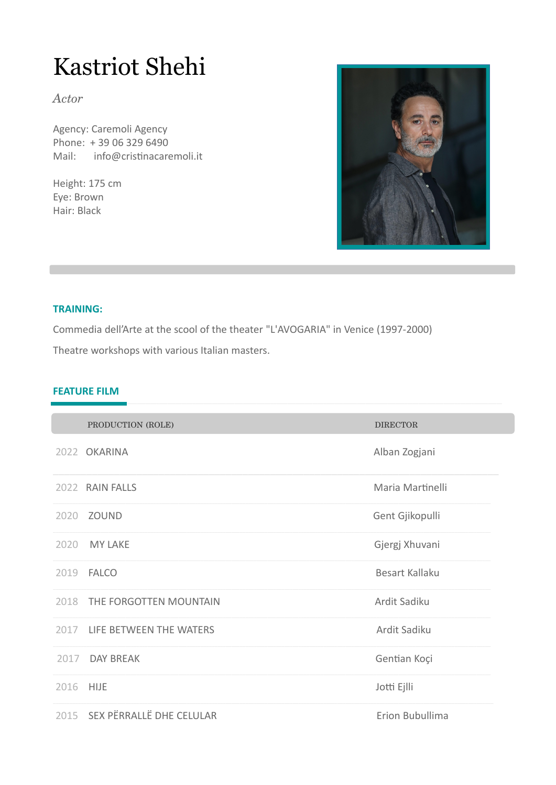# **Kastriot Shehi**

Actor

Agency: Caremoli Agency Phone: +39 06 329 6490 Mail: info@cristinacaremoli.it

Height: 175 cm Eye: Brown Hair: Black



#### **TRAINING:**

Commedia dell'Arte at the scool of the theater "L'AVOGARIA" in Venice (1997-2000) Theatre workshops with various Italian masters.

# **FEATURE FILM**

|           | PRODUCTION (ROLE)             | <b>DIRECTOR</b>       |
|-----------|-------------------------------|-----------------------|
|           | 2022 OKARINA                  | Alban Zogjani         |
|           | 2022 RAIN FALLS               | Maria Martinelli      |
|           | 2020 ZOUND                    | Gent Gjikopulli       |
| 2020      | <b>MY LAKE</b>                | Gjergj Xhuvani        |
| 2019      | <b>FALCO</b>                  | <b>Besart Kallaku</b> |
|           | 2018 THE FORGOTTEN MOUNTAIN   | Ardit Sadiku          |
|           | 2017 LIFE BETWEEN THE WATERS  | Ardit Sadiku          |
|           | 2017 DAY BREAK                | Gentian Koçi          |
| 2016 HIJE |                               | Jotti Ejlli           |
|           | 2015 SEX PËRRALLË DHE CELULAR | Erion Bubullima       |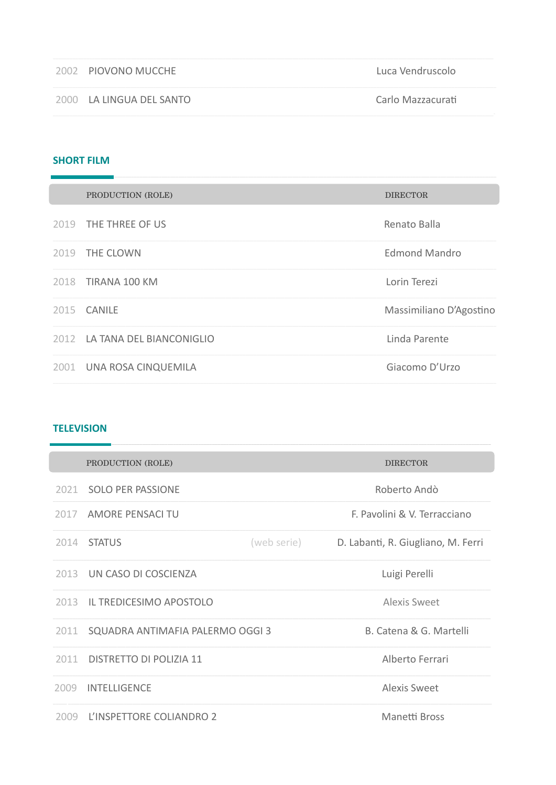| 2002 PIOVONO MUCCHE      | Luca Vendruscolo  |
|--------------------------|-------------------|
| 2000 LA LINGUA DEL SANTO | Carlo Mazzacurati |

## **SHORT FILM**

|      | PRODUCTION (ROLE)             | <b>DIRECTOR</b>         |
|------|-------------------------------|-------------------------|
|      | 2019 THE THREE OF US          | Renato Balla            |
|      | 2019 THE CLOWN                | <b>Edmond Mandro</b>    |
|      | 2018 TIRANA 100 KM            | Lorin Terezi            |
| 2015 | CANILE                        | Massimiliano D'Agostino |
|      | 2012 LA TANA DEL BIANCONIGLIO | Linda Parente           |
|      | 2001 UNA ROSA CINQUEMILA      | Giacomo D'Urzo          |

#### **TELEVISION**

|      | PRODUCTION (ROLE)                |             | <b>DIRECTOR</b>                    |
|------|----------------------------------|-------------|------------------------------------|
|      | 2021 SOLO PER PASSIONE           |             | Roberto Andò                       |
|      | 2017 AMORE PENSACI TU            |             | F. Pavolini & V. Terracciano       |
| 2014 | <b>STATUS</b>                    | (web serie) | D. Labanti, R. Giugliano, M. Ferri |
|      | 2013 UN CASO DI COSCIENZA        |             | Luigi Perelli                      |
|      | 2013 IL TREDICESIMO APOSTOLO     |             | <b>Alexis Sweet</b>                |
| 2011 | SQUADRA ANTIMAFIA PALERMO OGGI 3 |             | B. Catena & G. Martelli            |
| 2011 | DISTRETTO DI POLIZIA 11          |             | Alberto Ferrari                    |
| 2009 | <b>INTELLIGENCE</b>              |             | Alexis Sweet                       |
|      | 2009 L'INSPETTORE COLIANDRO 2    |             | Manetti Bross                      |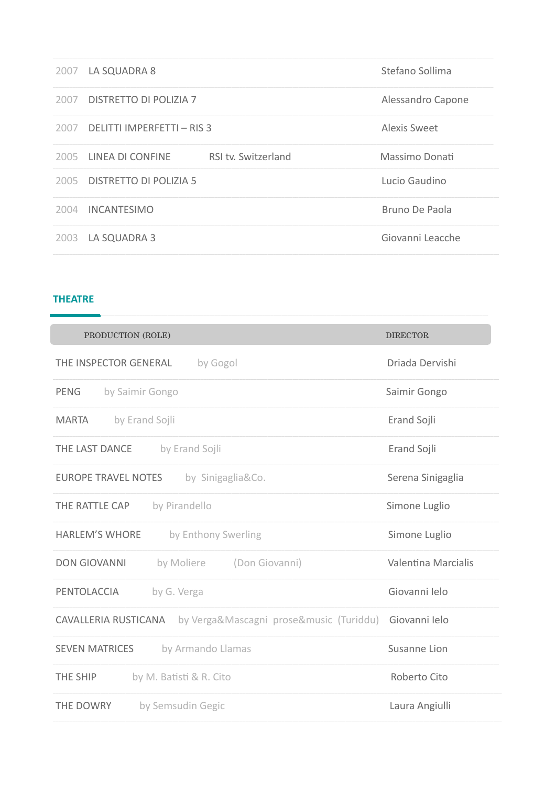| 2007 | LA SQUADRA 8                      |                     | Stefano Sollima   |
|------|-----------------------------------|---------------------|-------------------|
| 2007 | DISTRETTO DI POLIZIA 7            |                     | Alessandro Capone |
| 2007 | <b>DELITTI IMPERFETTI - RIS 3</b> |                     | Alexis Sweet      |
| 2005 | LINEA DI CONFINE                  | RSI tv. Switzerland | Massimo Donati    |
| 2005 | DISTRETTO DI POLIZIA 5            |                     | Lucio Gaudino     |
| 2004 | <b>INCANTESIMO</b>                |                     | Bruno De Paola    |
| 2003 | LA SQUADRA 3                      |                     | Giovanni Leacche  |

#### **THEATRE**

| PRODUCTION (ROLE)                                               | <b>DIRECTOR</b>     |
|-----------------------------------------------------------------|---------------------|
| THE INSPECTOR GENERAL<br>by Gogol                               | Driada Dervishi     |
| <b>PENG</b><br>by Saimir Gongo                                  | Saimir Gongo        |
| by Erand Sojli<br><b>MARTA</b>                                  | Erand Sojli         |
| THE LAST DANCE<br>by Erand Sojli                                | Erand Sojli         |
| <b>EUROPE TRAVEL NOTES</b><br>by Sinigaglia&Co.                 | Serena Sinigaglia   |
| by Pirandello<br>THE RATTLE CAP                                 | Simone Luglio       |
| <b>HARLEM'S WHORE</b><br>by Enthony Swerling                    | Simone Luglio       |
| <b>DON GIOVANNI</b><br>by Moliere<br>(Don Giovanni)             | Valentina Marcialis |
| PENTOLACCIA<br>by G. Verga                                      | Giovanni Ielo       |
| by Verga&Mascagni prose&music (Turiddu)<br>CAVALLERIA RUSTICANA | Giovanni Ielo       |
| by Armando Llamas<br><b>SEVEN MATRICES</b>                      | Susanne Lion        |
| THE SHIP<br>by M. Batisti & R. Cito                             | Roberto Cito        |
| THE DOWRY<br>by Semsudin Gegic                                  | Laura Angiulli      |